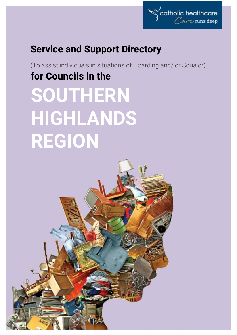

# **Service and Support Directory**

(To assist individuals in situations of Hoarding and/ or Squalor) **for Councils in the SOUTHERN** 

# **HIGHLANDS REGION**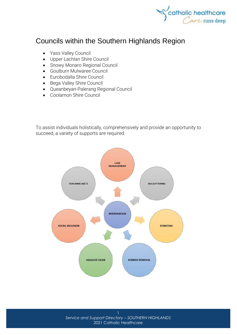

## Councils within the Southern Highlands Region

- [Yass Valley Council](http://www.yassvalley.nsw.gov.au/)
- [Upper Lachlan Shire Council](http://www.upperlachlan.nsw.gov.au/)
- [Snowy Monaro Regional Council](https://www.snowymonaro.nsw.gov.au/)
- [Goulburn Mulwaree Council](http://www.goulburn.nsw.gov.au/)
- [Eurobodalla Shire Council](http://www.esc.nsw.gov.au/)
- [Bega Valley Shire Council](http://www.begavalley.nsw.gov.au/)
- [Queanbeyan-Palerang](http://www.qprc.nsw.gov.au/) Regional Council
- [Coolamon Shire Council](http://www.coolamon.nsw.gov.au/)

To assist individuals holistically, comprehensively and provide an opportunity to succeed, a variety of supports are required.



*Service and Support Directory – SOUTHERN HIGHLANDS* 2021 Catholic Healthcare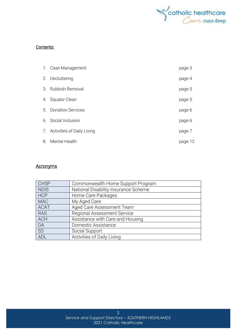

#### Contents:

|         | 1. Case Management            | page 3  |
|---------|-------------------------------|---------|
| 2.      | Decluttering                  | page 4  |
| $3_{-}$ | <b>Rubbish Removal</b>        | page 5  |
| 4.      | <b>Squalor Clean</b>          | page 5  |
| 5.      | <b>Donation Services</b>      | page 6  |
|         | 6. Social Inclusion           | page 6  |
|         | 7. Activities of Daily Living | page 7  |
| 8.      | <b>Mental Health</b>          | page 12 |

#### **Acronyms**

| <b>CHSP</b> | Commonwealth Home Support Program    |
|-------------|--------------------------------------|
| <b>NDIS</b> | National Disability Insurance Scheme |
| <b>HCP</b>  | Home Care Packages                   |
| <b>MAC</b>  | My Aged Care                         |
| <b>ACAT</b> | Aged Care Assessment Team            |
| <b>RAS</b>  | Regional Assessment Service          |
| <b>ACH</b>  | Assistance with Care and Housing     |
| DA          | Domestic Assistance                  |
| SS          | Social Support                       |
| ADL         | Activities of Daily Living           |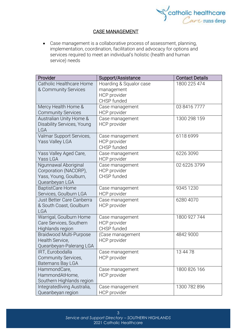

#### CASE MANAGEMENT

• Case management is a collaborative process of assessment, planning, implementation, coordination, facilitation and advocacy for options and services required to meet an individual's holistic (health and human service) needs

| Provider                    | Support/Assistance      | <b>Contact Details</b> |
|-----------------------------|-------------------------|------------------------|
| Catholic Healthcare Home    | Hoarding & Squalor case | 1800 225 474           |
| & Community Services        | management              |                        |
|                             | HCP provider            |                        |
|                             | CHSP funded             |                        |
| Mercy Health Home &         | Case management         | 03 8416 7777           |
| <b>Community Services</b>   | <b>HCP</b> provider     |                        |
| Australian Unity Home &     | Case management         | 1300 298 159           |
| Disability Services, Young  | <b>HCP</b> provider     |                        |
| <b>LGA</b>                  |                         |                        |
| Valmar Support Services,    | Case management         | 6118 6999              |
| <b>Yass Valley LGA</b>      | HCP provider            |                        |
|                             | CHSP funded             |                        |
| Yass Valley Aged Care,      | Case management         | 6226 3090              |
| Yass LGA                    | HCP provider            |                        |
| Ngunnawal Aboriginal        | Case management         | 02 6226 3799           |
| Corporation (NACORP),       | HCP provider            |                        |
| Yass, Young, Goulburn,      | CHSP funded             |                        |
| Queanbeyan LGA              |                         |                        |
| <b>BaptistCare Home</b>     | Case management         | 9345 1230              |
| Services, Goulburn LGA      | <b>HCP</b> provider     |                        |
| Just Better Care Canberra   | Case management         | 6280 4070              |
| & South Coast, Goulburn     | <b>HCP</b> provider     |                        |
| LGA                         |                         |                        |
| Warrigal, Goulburn Home     | Case management         | 1800 927 744           |
| Care Services, Southern     | <b>HCP</b> provider     |                        |
| Highlands region            | CHSP funded             |                        |
| Braidwood Multi-Purpose     | (Case management        | 4842 9000              |
| Health Service,             | <b>HCP</b> provider     |                        |
| Queanbeyan-Palerang LGA     |                         |                        |
| IRT, Eurobodalla            | Case management         | 13 44 78               |
| Community Services,         | HCP provider            |                        |
| Batemans Bay LGA            |                         |                        |
| HammondCare,                | Case management         | 1800 826 166           |
| HammondAtHome,              | <b>HCP</b> provider     |                        |
| Southern Highlands region   |                         |                        |
| Integratedliving Australia, | Case management         | 1300 782 896           |
| Queanbeyan region           | HCP provider            |                        |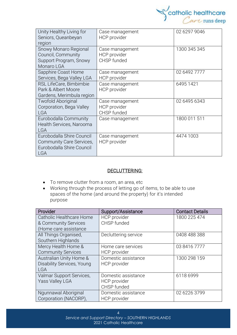

| Unity Healthy Living for<br>Seniors, Queanbeyan<br>region                                        | Case management<br>HCP provider                       | 02 6297 9046 |
|--------------------------------------------------------------------------------------------------|-------------------------------------------------------|--------------|
| Snowy Monaro Regional<br>Council, Community<br>Support Program, Snowy<br>Monaro LGA              | Case management<br><b>HCP</b> provider<br>CHSP funded | 1300 345 345 |
| Sapphire Coast Home<br>Services, Bega Valley LGA                                                 | Case management<br><b>HCP</b> provider                | 02 6492 7777 |
| RSL LifeCare, Bimbimbie<br>Park & Albert Moore<br>Gardens, Merimbula region                      | Case management<br>HCP provider                       | 6495 1421    |
| <b>Twofold Aboriginal</b><br>Corporation, Bega Valley<br><b>LGA</b>                              | Case management<br>HCP provider<br>CHSP funded        | 02 6495 6343 |
| Eurobodalla Community<br>Health Services, Narooma<br><b>LGA</b>                                  | Case management                                       | 1800 011 511 |
| Eurobodalla Shire Council<br>Community Care Services,<br>Eurobodalla Shire Council<br><b>LGA</b> | Case management<br><b>HCP</b> provider                | 4474 1003    |

#### DECLUTTERING:

- To remove clutter from a room, an area, etc
- Working through the process of letting go of items, to be able to use spaces of the home (and around the property) for it's intended purpose

| Provider                          | Support/Assistance   | <b>Contact Details</b> |
|-----------------------------------|----------------------|------------------------|
| Catholic Healthcare Home          | <b>HCP</b> provider  | 1800 225 474           |
| & Community Services              | CHSP funded          |                        |
| (Home care assistance             |                      |                        |
| All Things Organised,             | Decluttering service | 0408 488 388           |
| Southern Highlands                |                      |                        |
| Mercy Health Home &               | Home care services   | 03 8416 7777           |
| <b>Community Services</b>         | HCP provider         |                        |
| Australian Unity Home &           | Domestic assistance  | 1300 298 159           |
| <b>Disability Services, Young</b> | <b>HCP</b> provider  |                        |
| <b>LGA</b>                        |                      |                        |
| Valmar Support Services,          | Domestic assistance  | 6118 6999              |
| Yass Valley LGA                   | <b>HCP</b> provider  |                        |
|                                   | CHSP funded          |                        |
| Ngunnawal Aboriginal              | Domestic assistance  | 02 6226 3799           |
| Corporation (NACORP),             | HCP provider         |                        |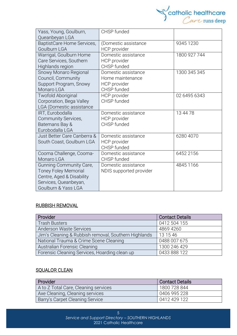

| Yass, Young, Goulburn,<br>Queanbeyan LGA                                                                                            | CHSP funded                                                            |              |
|-------------------------------------------------------------------------------------------------------------------------------------|------------------------------------------------------------------------|--------------|
| BaptistCare Home Services,<br>Goulburn LGA                                                                                          | (Domestic assistance<br>HCP provider                                   | 9345 1230    |
| Warrigal, Goulburn Home<br>Care Services, Southern<br>Highlands region                                                              | Domestic assistance<br>HCP provider<br>CHSP funded                     | 1800 927 744 |
| Snowy Monaro Regional<br>Council, Community<br>Support Program, Snowy<br>Monaro LGA                                                 | Domestic assistance<br>Home maintenance<br>HCP provider<br>CHSP funded | 1300 345 345 |
| <b>Twofold Aboriginal</b><br>Corporation, Bega Valley<br>LGA (Domestic assistance                                                   | HCP provider<br>CHSP funded                                            | 02 6495 6343 |
| IRT, Eurobodalla<br>Community Services,<br>Batemans Bay &<br>Eurobodalla LGA                                                        | Domestic assistance<br>HCP provider<br>CHSP funded                     | 13 44 78     |
| Just Better Care Canberra &<br>South Coast, Goulburn LGA                                                                            | Domestic assistance<br><b>HCP</b> provider<br>CHSP funded              | 6280 4070    |
| Cooma Challenge, Cooma-<br>Monaro LGA                                                                                               | Domestic assistance<br>CHSP funded                                     | 6452 2156    |
| Gunning Community Care,<br><b>Toney Foley Memorial</b><br>Centre, Aged & Disability<br>Services, Queanbeyan,<br>Goulburn & Yass LGA | Domestic assistance<br>NDIS supported provider                         | 4845 1166    |

#### RUBBISH REMOVAL

| <b>Provider</b>                                      | <b>Contact Details</b> |
|------------------------------------------------------|------------------------|
| <b>Trash Busters</b>                                 | 0412 504 155           |
| <b>Anderson Waste Services</b>                       | 4869 4260              |
| Jim's Cleaning & Rubbish removal, Southern Highlands | 13 15 46               |
| National Trauma & Crime Scene Cleaning               | 0488 007 675           |
| Australian Forensic Cleaning                         | 1300 246 429           |
| Forensic Cleaning Services, Hoarding clean up        | 0433 888 122           |

#### **SQUALOR CLEAN**

| <b>Provider</b>                      | Contact Details |
|--------------------------------------|-----------------|
| A to Z Total Care, Cleaning services | 1800 728 844    |
| Axe Cleaning, Cleaning services      | 0406 995 228    |
| Barry's Carpet Cleaning Service      | 0412 429 122    |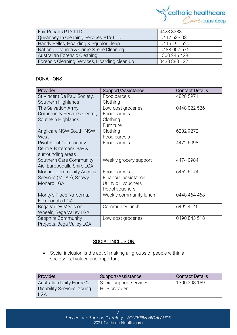

| Fair Repairs PTY LTD                          | 4423 3283    |
|-----------------------------------------------|--------------|
| Queanbeyan Cleaning Services PTY LTD          | 0412 633 031 |
| Handy Belles, Hoarding & Squalor clean        | 0416 191 620 |
| National Trauma & Crime Scene Cleaning        | 0488 007 675 |
| Australian Forensic Cleaning                  | 1300 246 429 |
| Forensic Cleaning Services, Hoarding clean up | 0433 888 122 |

#### **DONATIONS**

| Provider                       | Support/Assistance     | <b>Contact Details</b> |
|--------------------------------|------------------------|------------------------|
| St Vincent De Paul Society,    | Food parcels           | 4828 5971              |
| Southern Highlands             | Clothing               |                        |
| The Salvation Army             | Low-cost groceries     | 0448 022 526           |
| Community Services Centre,     | Food parcels           |                        |
| Southern Highlands             | Clothing               |                        |
|                                | Furniture              |                        |
| Anglicare NSW South, NSW       | Clothing               | 6232 9272              |
| West                           | Food parcels           |                        |
| <b>Pivot Point Community</b>   | Food parcels           | 4472 6098              |
| Centre, Batemans Bay &         |                        |                        |
| surrounding areas              |                        |                        |
| Southern Care Community        | Weekly grocery support | 4474 0984              |
| Aid, Eurobodalla Shire LGA     |                        |                        |
| <b>Monaro Community Access</b> | Food parcels           | 6452 6174              |
| Services (MCAS), Snowy         | Financial assistance   |                        |
| Monaro LGA                     | Utility bill vouchers  |                        |
|                                | Petrol vouchers        |                        |
| Monty's Place Narooma,         | Weekly community lunch | 0448 464 468           |
| Eurobodalla LGA                |                        |                        |
| Bega Valley Meals on           | Community lunch        | 6492 4146              |
| Wheels, Bega Valley LGA        |                        |                        |
| Sapphire Community             | Low-cost groceries     | 0490 843 518           |
| Projects, Bega Valley LGA      |                        |                        |

#### SOCIAL INCLUSION:

• Social [inclusion](https://www.collinsdictionary.com/dictionary/english/inclusion) is the act of making all groups of people within a society [feel](https://www.collinsdictionary.com/dictionary/english/feel) valued and [important.](https://www.collinsdictionary.com/dictionary/english/important)

| Provider                                                     | Support/Assistance                      | <b>Contact Details</b> |
|--------------------------------------------------------------|-----------------------------------------|------------------------|
| Australian Unity Home &<br>Disability Services, Young<br>LGA | Social support services<br>HCP provider | 1300 298 159           |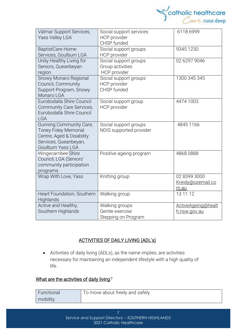

| Valmar Support Services,<br>Yass Valley LGA                                                                                       | Social support services<br><b>HCP</b> provider<br>CHSP funded    | 6118 6999                                 |
|-----------------------------------------------------------------------------------------------------------------------------------|------------------------------------------------------------------|-------------------------------------------|
| <b>BaptistCare Home</b><br>Services, Goulburn LGA                                                                                 | Social support groups<br><b>HCP</b> provider                     | 9345 1230                                 |
| Unity Healthy Living for<br>Seniors, Queanbeyan<br>region                                                                         | Social support groups<br>Group activities<br><b>HCP</b> provider | 02 6297 9046                              |
| Snowy Monaro Regional<br>Council, Community<br>Support Program, Snowy<br>Monaro LGA                                               | Social support groups<br>HCP provider<br>CHSP funded             | 1300 345 345                              |
| Eurobodalla Shire Council<br>Community Care Services,<br>Eurobodalla Shire Council<br><b>LGA</b>                                  | Social support group<br>HCP provider                             | 4474 1003                                 |
| Gunning Community Care,<br><b>Toney Foley Memorial</b><br>Centre, Aged & Disability<br>Services, Queanbeyan,<br>Goulburn Yass LGA | Social support groups<br>NDIS supported provider                 | 4845 1166                                 |
| Wingecarribee Shire<br>Council, LGA (Seniors'<br>community participation<br>programs                                              | Positive ageing program                                          | 4868 0888                                 |
| Wrap With Love, Yass                                                                                                              | Knitting group                                                   | 02 8399 3000<br>Kreidy@ozemail.co<br>m.au |
| Heart Foundation, Southern<br>Highlands                                                                                           | Walking group                                                    | 13 11 12                                  |
| Active and Healthy,<br>Southern Highlands                                                                                         | Walking groups<br>Gentle exercise<br>Stepping on Program         | ActiveAgeing@healt<br>h.nsw.gov.au        |

### ACTIVITIES OF DAILY LIVING (ADL's)

• Activities of daily living (ADLs), as the name implies, are activities necessary for maintaining an independent lifestyle with a high quality of life.

#### What are the activities of daily living*?*

| Functional | To move about freely and safely. |
|------------|----------------------------------|
| mobility:  |                                  |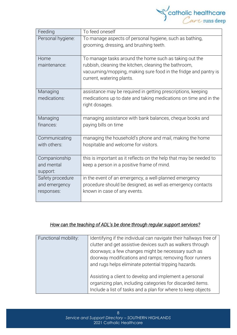

| Feeding           | To feed oneself                                                    |
|-------------------|--------------------------------------------------------------------|
| Personal hygiene: | To manage aspects of personal hygiene, such as bathing,            |
|                   | grooming, dressing, and brushing teeth.                            |
|                   |                                                                    |
| Home              | To manage tasks around the home such as taking out the             |
| maintenance:      | rubbish, cleaning the kitchen, cleaning the bathroom,              |
|                   | vacuuming/mopping, making sure food in the fridge and pantry is    |
|                   | current, watering plants.                                          |
|                   |                                                                    |
| Managing          | assistance may be required in getting prescriptions, keeping       |
| medications:      | medications up to date and taking medications on time and in the   |
|                   | right dosages.                                                     |
|                   |                                                                    |
| Managing          | managing assistance with bank balances, cheque books and           |
| finances:         | paying bills on time                                               |
|                   |                                                                    |
| Communicating     | managing the household's phone and mail, making the home           |
| with others:      | hospitable and welcome for visitors.                               |
|                   |                                                                    |
| Companionship     | this is important as it reflects on the help that may be needed to |
| and mental        | keep a person in a positive frame of mind.                         |
| support:          |                                                                    |
| Safety procedure  | in the event of an emergency, a well-planned emergency             |
| and emergency     | procedure should be designed; as well as emergency contacts        |
| responses:        | known in case of any events.                                       |
|                   |                                                                    |

#### *How can the teaching of ADL's be done through regular support services?*

| Functional mobility: | Identifying if the individual can navigate their hallways free of<br>clutter and get assistive devices such as walkers through<br>doorways; a few changes might be necessary such as<br>doorway modifications and ramps; removing floor runners |
|----------------------|-------------------------------------------------------------------------------------------------------------------------------------------------------------------------------------------------------------------------------------------------|
|                      | and rugs helps eliminate potential tripping hazards.<br>Assisting a client to develop and implement a personal<br>organizing plan, including categories for discarded items.<br>Include a list of tasks and a plan for where to keep objects    |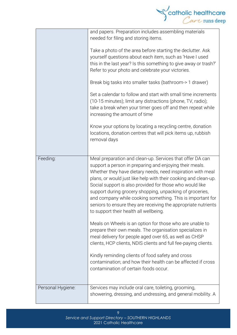

|                   | and papers. Preparation includes assembling materials<br>needed for filing and storing items.<br>Take a photo of the area before starting the declutter. Ask<br>yourself questions about each item, such as 'Have I used<br>this in the last year? Is this something to give away or trash?'<br>Refer to your photo and celebrate your victories.<br>Break big tasks into smaller tasks (bathroom-> 1 drawer)<br>Set a calendar to follow and start with small time increments<br>(10-15 minutes); limit any distractions (phone, TV, radio);<br>take a break when your timer goes off and then repeat while |
|-------------------|--------------------------------------------------------------------------------------------------------------------------------------------------------------------------------------------------------------------------------------------------------------------------------------------------------------------------------------------------------------------------------------------------------------------------------------------------------------------------------------------------------------------------------------------------------------------------------------------------------------|
|                   | increasing the amount of time<br>Know your options by locating a recycling centre, donation<br>locations, donation centres that will pick items up, rubbish<br>removal days                                                                                                                                                                                                                                                                                                                                                                                                                                  |
| Feeding:          | Meal preparation and clean-up. Services that offer DA can<br>support a person in preparing and enjoying their meals.<br>Whether they have dietary needs, need inspiration with meal<br>plans, or would just like help with their cooking and clean-up.<br>Social support is also provided for those who would like<br>support during grocery shopping, unpacking of groceries,<br>and company while cooking something. This is important for<br>seniors to ensure they are receiving the appropriate nutrients<br>to support their health all wellbeing.                                                     |
|                   | Meals on Wheels is an option for those who are unable to<br>prepare their own meals. The organisation specializes in<br>meal delivery for people aged over 65, as well as CHSP<br>clients, HCP clients, NDIS clients and full fee-paying clients.                                                                                                                                                                                                                                                                                                                                                            |
|                   | Kindly reminding clients of food safety and cross<br>contamination; and how their health can be affected if cross<br>contamination of certain foods occur.                                                                                                                                                                                                                                                                                                                                                                                                                                                   |
| Personal Hygiene: | Services may include oral care, toileting, grooming,<br>showering, dressing, and undressing, and general mobility. A                                                                                                                                                                                                                                                                                                                                                                                                                                                                                         |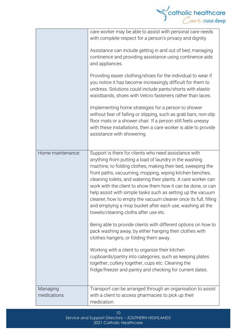

| Home maintenance:        | care worker may be able to assist with personal care needs<br>with complete respect for a person's privacy and dignity.<br>Assistance can include getting in and out of bed, managing<br>continence and providing assistance using continence aids<br>and appliances.<br>Providing easier clothing/shoes for the individual to wear if<br>you notice it has become increasingly difficult for them to<br>undress. Solutions could include pants/shorts with elastic<br>waistbands, shoes with Velcro fasteners rather than laces.<br>Implementing home strategies for a person to shower<br>without fear of falling or slipping, such as grab bars, non-slip<br>floor mats or a shower chair. If a person still feels uneasy<br>with these installations, then a care worker is able to provide<br>assistance with showering.<br>Support is there for clients who need assistance with                                                                               |
|--------------------------|----------------------------------------------------------------------------------------------------------------------------------------------------------------------------------------------------------------------------------------------------------------------------------------------------------------------------------------------------------------------------------------------------------------------------------------------------------------------------------------------------------------------------------------------------------------------------------------------------------------------------------------------------------------------------------------------------------------------------------------------------------------------------------------------------------------------------------------------------------------------------------------------------------------------------------------------------------------------|
|                          | anything from putting a load of laundry in the washing<br>machine, to folding clothes, making their bed, sweeping the<br>front paths, vacuuming, mopping, wiping kitchen benches,<br>cleaning toilets, and watering their plants. A care worker can<br>work with the client to show them how it can be done, or can<br>help assist with simple tasks such as setting up the vacuum<br>cleaner, how to empty the vacuum cleaner once its full, filling<br>and emptying a mop bucket after each use, washing all the<br>towels/cleaning cloths after use etc.<br>Being able to provide clients with different options on how to<br>pack washing away, by either hanging their clothes with<br>clothes hangers, or folding them away.<br>Working with a client to organize their kitchen<br>cupboards/pantry into categories, such as keeping plates<br>together, cutlery together, cups etc. Cleaning the<br>fridge/freezer and pantry and checking for current dates. |
| Managing<br>medications: | Transport can be arranged through an organisation to assist<br>with a client to access pharmacies to pick up their<br>medication.                                                                                                                                                                                                                                                                                                                                                                                                                                                                                                                                                                                                                                                                                                                                                                                                                                    |

*Service and Support Directory – SOUTHERN HIGHLANDS* 2021 Catholic Healthcare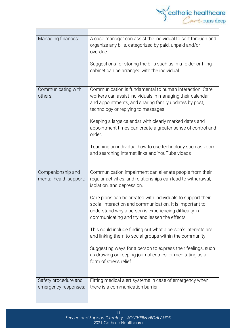

| Managing finances:                          | A case manager can assist the individual to sort through and<br>organize any bills, categorized by paid, unpaid and/or<br>overdue.<br>Suggestions for storing the bills such as in a folder or filing                             |
|---------------------------------------------|-----------------------------------------------------------------------------------------------------------------------------------------------------------------------------------------------------------------------------------|
|                                             | cabinet can be arranged with the individual.                                                                                                                                                                                      |
| Communicating with<br>others:               | Communication is fundamental to human interaction. Care<br>workers can assist individuals in managing their calendar<br>and appointments, and sharing family updates by post,<br>technology or replying to messages               |
|                                             | Keeping a large calendar with clearly marked dates and<br>appointment times can create a greater sense of control and<br>order.                                                                                                   |
|                                             | Teaching an individual how to use technology such as zoom<br>and searching internet links and YouTube videos                                                                                                                      |
| Companionship and<br>mental health support: | Communication impairment can alienate people from their<br>regular activities, and relationships can lead to withdrawal,<br>isolation, and depression.                                                                            |
|                                             | Care plans can be created with individuals to support their<br>social interaction and communication. It is important to<br>understand why a person is experiencing difficulty in<br>communicating and try and lessen the effects. |
|                                             | This could include finding out what a person's interests are<br>and linking them to social groups within the community.                                                                                                           |
|                                             | Suggesting ways for a person to express their feelings, such<br>as drawing or keeping journal entries, or meditating as a<br>form of stress relief.                                                                               |
| Safety procedure and                        | Fitting medical alert systems in case of emergency when                                                                                                                                                                           |
| emergency responses:                        | there is a communication barrier                                                                                                                                                                                                  |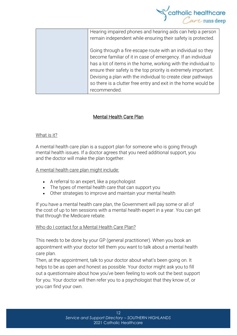

| Hearing impaired phones and hearing aids can help a person      |
|-----------------------------------------------------------------|
| remain independent while ensuring their safety is protected.    |
|                                                                 |
| Going through a fire escape route with an individual so they    |
| become familiar of it in case of emergency. If an individual    |
| has a lot of items in the home, working with the individual to  |
| ensure their safety is the top priority is extremely important. |
| Devising a plan with the individual to create clear pathways    |
| so there is a clutter free entry and exit in the home would be  |
| recommended.                                                    |
|                                                                 |

#### Mental Health Care Plan

#### What is it?

A mental health care plan is a support plan for someone who is going through mental health issues. If a doctor agrees that you need additional support, you and the doctor will make the plan together.

A mental health care plan might include:

- A referral to an expert, like a psychologist
- The types of mental health care that can support you
- Other strategies to improve and maintain your mental health

If you have a mental health care plan, the Government will pay some or all of the cost of up to ten sessions with a mental health expert in a year. You can get that through the [Medicare](https://headspace.org.au/blog/how-to-get-a-medicare-card-old/) rebate.

#### Who do I contact for a Mental Health Care Plan?

This needs to be done by your GP (general practitioner). When you book an appointment with your doctor tell them you want to talk about a mental health care plan.

Then, at the appointment, talk to your doctor about what's been going on. It helps to be as open and honest as possible. Your doctor might ask you to fill out a questionnaire about how you've been feeling to work out the best support for you. Your doctor will then refer you to a psychologist that they know of, or you can find your own.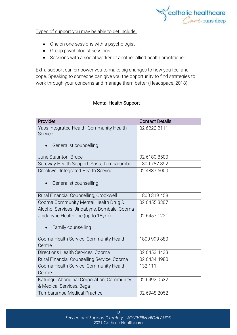

Types of support you may be able to get include:

- One on one sessions with a psychologist
- Group psychologist sessions
- Sessions with a social worker or another allied health practitioner

Extra support can empower you to make big changes to how you feel and cope. Speaking to someone can give you the opportunity to find strategies to work through your concerns and manage them better (Headspace, 2018).

#### Mental Health Support

| Provider                                    | <b>Contact Details</b> |
|---------------------------------------------|------------------------|
| Yass Integrated Health, Community Health    | 02 6220 2111           |
| Service                                     |                        |
| Generalist counselling                      |                        |
|                                             |                        |
| June Staunton, Bruce                        | 02 6180 8500           |
| Sureway Health Support, Yass, Tumbarumba    | 1300 787 392           |
| Crookwell Integrated Health Service         | 02 4837 5000           |
|                                             |                        |
| Generalist counselling                      |                        |
| Rural Financial Counselling, Crookwell      | 1800 319 458           |
| Cooma Community Mental Health Drug &        | 02 6455 3307           |
| Alcohol Services, Jindabyne, Bombala, Cooma |                        |
| Jindabyne HealthOne (up to 18y/o)           | 02 6457 1221           |
|                                             |                        |
| Family counselling                          |                        |
|                                             |                        |
| Cooma Health Service, Community Health      | 1800 999 880           |
| Centre                                      |                        |
| Directions Health Services, Cooma           | 02 6453 4433           |
| Rural Financial Counselling Service, Cooma  | 02 6434 4980           |
| Cooma Health Service, Community Health      | 132 111                |
| Centre                                      |                        |
| Katungul Aboriginal Corporation, Community  | 02 6492 0532           |
| & Medical Services, Bega                    |                        |
| Tumbarumba Medical Practice                 | 02 6948 2052           |